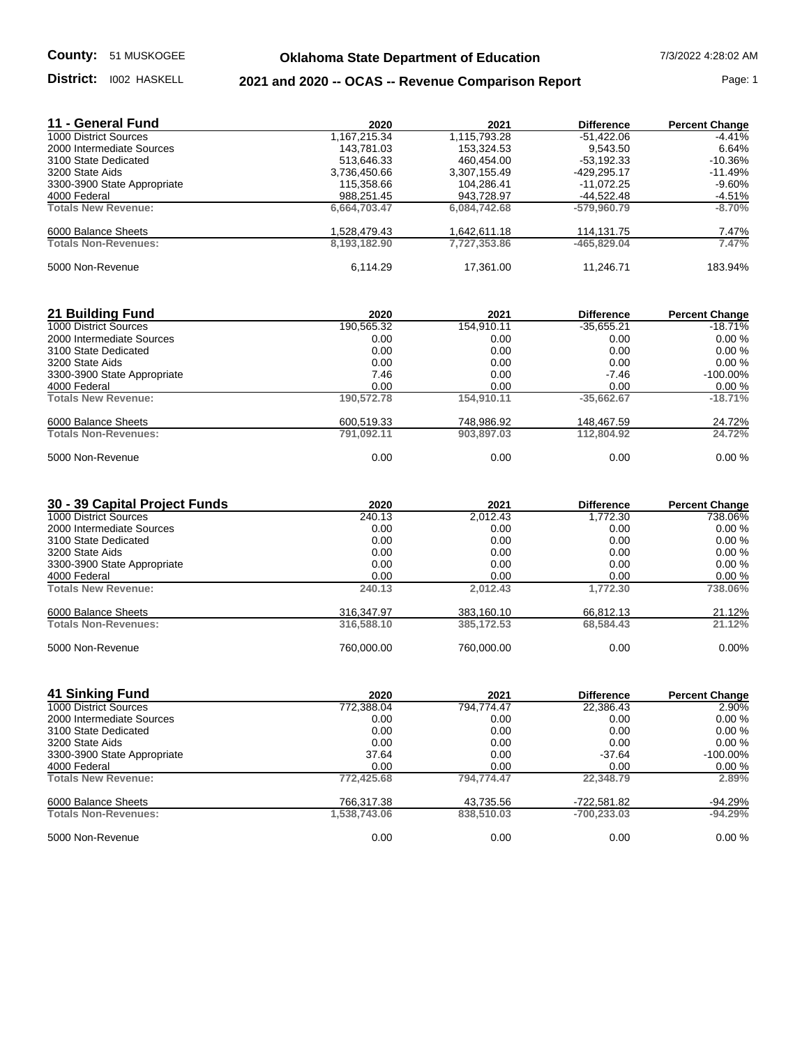## **Oklahoma State Department of Education** 7/3/2022 4:28:02 AM

District: 1002 HASKELL

## **District:** 1002 HASKELL **2021 and 2020 -- OCAS -- Revenue Comparison Report Page: 1**

| 11 - General Fund           | 2020         | 2021         | <b>Difference</b> | <b>Percent Change</b> |
|-----------------------------|--------------|--------------|-------------------|-----------------------|
| 1000 District Sources       | .167,215.34  | 1,115,793.28 | -51,422.06        | $-4.41%$              |
| 2000 Intermediate Sources   | 143,781.03   | 153.324.53   | 9.543.50          | 6.64%                 |
| 3100 State Dedicated        | 513,646.33   | 460.454.00   | -53.192.33        | $-10.36\%$            |
| 3200 State Aids             | 3.736.450.66 | 3.307.155.49 | -429.295.17       | $-11.49%$             |
| 3300-3900 State Appropriate | 115,358.66   | 104,286.41   | -11.072.25        | $-9.60%$              |
| 4000 Federal                | 988,251.45   | 943,728.97   | -44.522.48        | $-4.51%$              |
| <b>Totals New Revenue:</b>  | 6.664.703.47 | 6.084.742.68 | -579.960.79       | $-8.70%$              |
| 6000 Balance Sheets         | 528,479.43   | 1,642,611.18 | 114,131.75        | 7.47%                 |
| <b>Totals Non-Revenues:</b> | 8,193,182.90 | 7,727,353.86 | $-465.829.04$     | 7.47%                 |
| 5000 Non-Revenue            | 6.114.29     | 17.361.00    | 11.246.71         | 183.94%               |

| 21 Building Fund            | 2020       | 2021       | <b>Difference</b> | <b>Percent Change</b> |
|-----------------------------|------------|------------|-------------------|-----------------------|
| 1000 District Sources       | 190,565.32 | 154,910.11 | $-35,655.21$      | $-18.71\%$            |
| 2000 Intermediate Sources   | 0.00       | 0.00       | 0.00              | 0.00%                 |
| 3100 State Dedicated        | 0.00       | 0.00       | 0.00              | 0.00%                 |
| 3200 State Aids             | 0.00       | 0.00       | 0.00              | 0.00%                 |
| 3300-3900 State Appropriate | 7.46       | 0.00       | $-7.46$           | $-100.00\%$           |
| 4000 Federal                | 0.00       | 0.00       | 0.00              | 0.00%                 |
| <b>Totals New Revenue:</b>  | 190,572.78 | 154,910.11 | $-35.662.67$      | $-18.71%$             |
| 6000 Balance Sheets         | 600,519.33 | 748,986.92 | 148,467.59        | 24.72%                |
| <b>Totals Non-Revenues:</b> | 791.092.11 | 903.897.03 | 112.804.92        | 24.72%                |
| 5000 Non-Revenue            | 0.00       | 0.00       | 0.00              | 0.00%                 |

| 30 - 39 Capital Project Funds | 2020       | 2021        | <b>Difference</b> | <b>Percent Change</b> |
|-------------------------------|------------|-------------|-------------------|-----------------------|
| 1000 District Sources         | 240.13     | 2.012.43    | 1.772.30          | 738.06%               |
| 2000 Intermediate Sources     | 0.00       | 0.00        | 0.00              | 0.00%                 |
| 3100 State Dedicated          | 0.00       | 0.00        | 0.00              | 0.00%                 |
| 3200 State Aids               | 0.00       | 0.00        | 0.00              | 0.00%                 |
| 3300-3900 State Appropriate   | 0.00       | 0.00        | 0.00              | 0.00%                 |
| 4000 Federal                  | 0.00       | 0.00        | 0.00              | 0.00%                 |
| <b>Totals New Revenue:</b>    | 240.13     | 2.012.43    | 1.772.30          | 738.06%               |
| 6000 Balance Sheets           | 316,347.97 | 383,160.10  | 66.812.13         | 21.12%                |
| <b>Totals Non-Revenues:</b>   | 316,588.10 | 385, 172.53 | 68,584.43         | 21.12%                |
| 5000 Non-Revenue              | 760,000.00 | 760,000.00  | 0.00              | $0.00\%$              |

| 41 Sinking Fund             | 2020         | 2021       | <b>Difference</b> | <b>Percent Change</b> |
|-----------------------------|--------------|------------|-------------------|-----------------------|
| 1000 District Sources       | 772,388.04   | 794,774.47 | 22,386.43         | 2.90%                 |
| 2000 Intermediate Sources   | 0.00         | 0.00       | 0.00              | 0.00%                 |
| 3100 State Dedicated        | 0.00         | 0.00       | 0.00              | 0.00%                 |
| 3200 State Aids             | 0.00         | 0.00       | 0.00              | 0.00%                 |
| 3300-3900 State Appropriate | 37.64        | 0.00       | $-37.64$          | $-100.00\%$           |
| 4000 Federal                | 0.00         | 0.00       | 0.00              | 0.00%                 |
| <b>Totals New Revenue:</b>  | 772.425.68   | 794.774.47 | 22,348.79         | 2.89%                 |
| 6000 Balance Sheets         | 766,317.38   | 43,735.56  | -722,581.82       | -94.29%               |
| <b>Totals Non-Revenues:</b> | 1,538,743.06 | 838,510.03 | $-700.233.03$     | $-94.29%$             |
| 5000 Non-Revenue            | 0.00         | 0.00       | 0.00              | 0.00%                 |